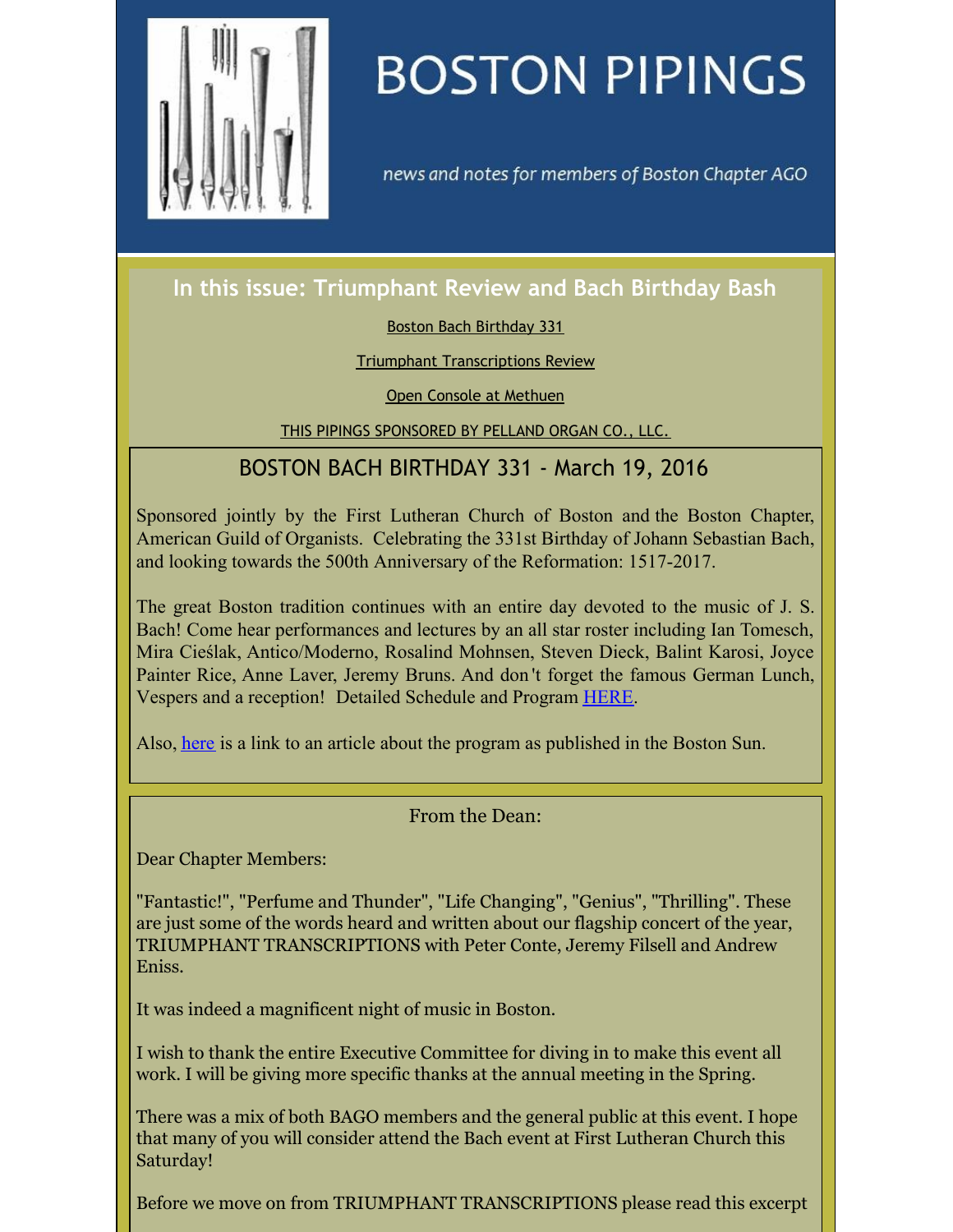<span id="page-0-0"></span>

# **BOSTON PIPINGS**

news and notes for members of Boston Chapter AGO

## **In this issue: Triumphant Review and Bach Birthday Bash**

#### Boston Bach [Birthday](#page-0-0) 331

#### Triumphant [Transcriptions](#page-0-0) Review

Open Console at [Methuen](#page-0-0)

THIS PIPINGS [SPONSORED](#page-0-0) BY PELLAND ORGAN CO., LLC.

## BOSTON BACH BIRTHDAY 331 - March 19, 2016

Sponsored jointly by the First Lutheran Church of Boston and the Boston Chapter, American Guild of Organists. Celebrating the 331st Birthday of Johann Sebastian Bach, and looking towards the 500th Anniversary of the Reformation: 1517-2017.

The great Boston tradition continues with an entire day devoted to the music of J. S. Bach! Come hear performances and lectures by an all star roster including Ian Tomesch, Mira Cieślak, Antico/Moderno, Rosalind Mohnsen, Steven Dieck, Balint Karosi, Joyce Painter Rice, Anne Laver, Jeremy Bruns. And don 't forget the famous German Lunch, Vespers and a reception! Detailed Schedule and Program [HERE](http://www.bostonago.org/bach-birthday-bash-2016/).

Also, [here](http://www.bostonago.org/wp-content/uploads/2016/03/TBS_20160317_A7.pdf) is a link to an article about the program as published in the Boston Sun.

### From the Dean:

Dear Chapter Members:

"Fantastic!", "Perfume and Thunder", "Life Changing", "Genius", "Thrilling". These are just some of the words heard and written about our flagship concert of the year, TRIUMPHANT TRANSCRIPTIONS with Peter Conte, Jeremy Filsell and Andrew Eniss.

It was indeed a magnificent night of music in Boston.

I wish to thank the entire Executive Committee for diving in to make this event all work. I will be giving more specific thanks at the annual meeting in the Spring.

There was a mix of both BAGO members and the general public at this event. I hope that many of you will consider attend the Bach event at First Lutheran Church this Saturday!

Before we move on from TRIUMPHANT TRANSCRIPTIONS please read this excerpt